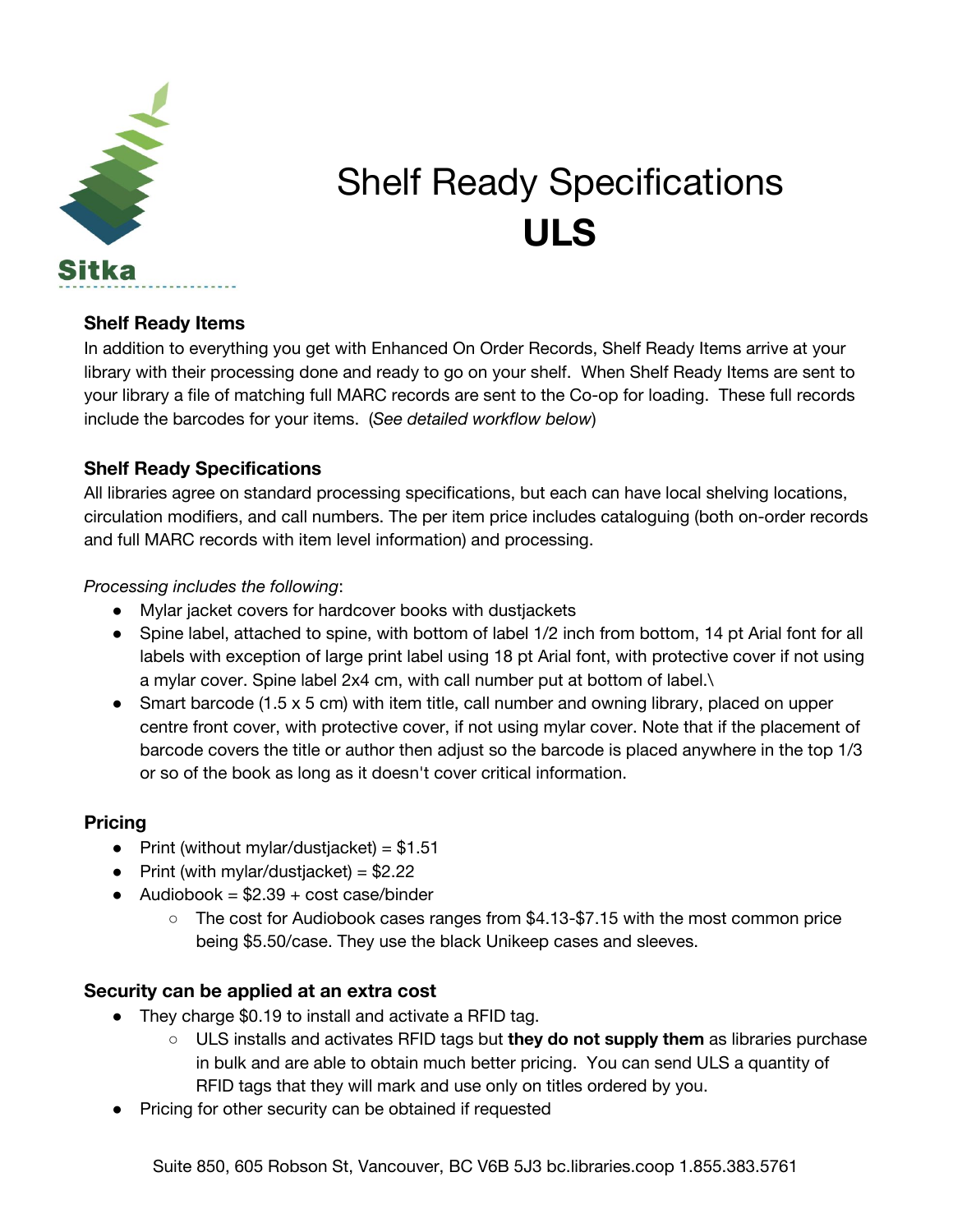

# Shelf Ready Specifications **ULS**

#### **Shelf Ready Items**

In addition to everything you get with Enhanced On Order Records, Shelf Ready Items arrive at your library with their processing done and ready to go on your shelf. When Shelf Ready Items are sent to your library a file of matching full MARC records are sent to the Co-op for loading. These full records include the barcodes for your items. (*See detailed workflow below*)

## **Shelf Ready Specifications**

All libraries agree on standard processing specifications, but each can have local shelving locations, circulation modifiers, and call numbers. The per item price includes cataloguing (both on-order records and full MARC records with item level information) and processing.

#### *Processing includes the following*:

- Mylar jacket covers for hardcover books with dustjackets
- Spine label, attached to spine, with bottom of label 1/2 inch from bottom, 14 pt Arial font for all labels with exception of large print label using 18 pt Arial font, with protective cover if not using a mylar cover. Spine label 2x4 cm, with call number put at bottom of label.\
- Smart barcode (1.5  $\times$  5 cm) with item title, call number and owning library, placed on upper centre front cover, with protective cover, if not using mylar cover. Note that if the placement of barcode covers the title or author then adjust so the barcode is placed anywhere in the top 1/3 or so of the book as long as it doesn't cover critical information.

#### **Pricing**

- Print (without mylar/dustjacket) =  $$1.51$
- Print (with mylar/dustiacket) =  $$2.22$
- $\bullet$  Audiobook = \$2.39 + cost case/binder
	- The cost for Audiobook cases ranges from \$4.13-\$7.15 with the most common price being \$5.50/case. They use the black Unikeep cases and sleeves.

## **Security can be applied at an extra cost**

- They charge \$0.19 to install and activate a RFID tag.
	- ULS installs and activates RFID tags but **they do not supply them** as libraries purchase in bulk and are able to obtain much better pricing. You can send ULS a quantity of RFID tags that they will mark and use only on titles ordered by you.
- Pricing for other security can be obtained if requested